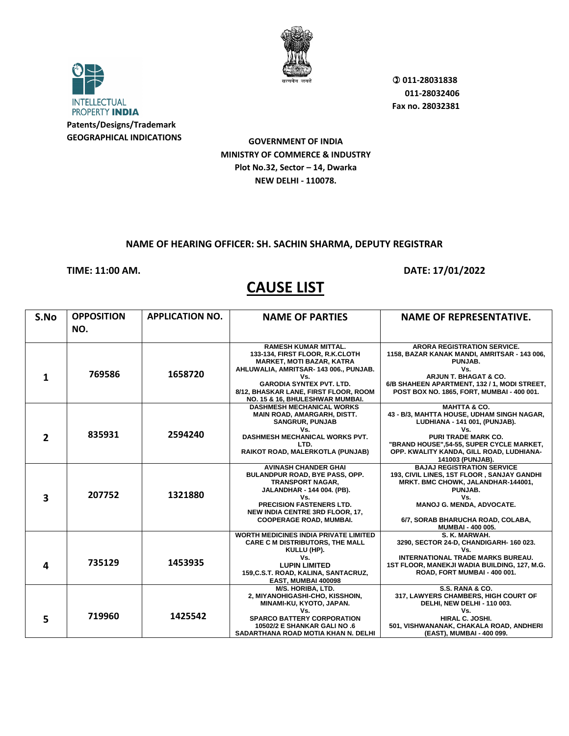

**INTELLECTUAL** PROPERTY INDIA **Patents/Designs/Trademark GEOGRAPHICAL INDICATIONS**

**GOVERNMENT OF INDIA MINISTRY OF COMMERCE & INDUSTRY Plot No.32, Sector – 14, Dwarka NEW DELHI - 110078.**

#### **NAME OF HEARING OFFICER: SH. SACHIN SHARMA, DEPUTY REGISTRAR**

#### **TIME: 11:00 AM. DATE: 17/01/2022**

| S.No                    | <b>OPPOSITION</b><br>NO. | <b>APPLICATION NO.</b> | <b>NAME OF PARTIES</b>                                                                                                                                                                                                                                            | <b>NAME OF REPRESENTATIVE.</b>                                                                                                                                                                                                                          |
|-------------------------|--------------------------|------------------------|-------------------------------------------------------------------------------------------------------------------------------------------------------------------------------------------------------------------------------------------------------------------|---------------------------------------------------------------------------------------------------------------------------------------------------------------------------------------------------------------------------------------------------------|
|                         |                          |                        |                                                                                                                                                                                                                                                                   |                                                                                                                                                                                                                                                         |
| 1                       | 769586                   | 1658720                | <b>RAMESH KUMAR MITTAL.</b><br>133-134, FIRST FLOOR, R.K.CLOTH<br><b>MARKET, MOTI BAZAR, KATRA</b><br>AHLUWALIA, AMRITSAR-143 006., PUNJAB.<br>Vs.<br><b>GARODIA SYNTEX PVT. LTD.</b><br>8/12, BHASKAR LANE, FIRST FLOOR, ROOM<br>NO. 15 & 16, BHULESHWAR MUMBAI. | <b>ARORA REGISTRATION SERVICE.</b><br>1158, BAZAR KANAK MANDI, AMRITSAR - 143 006,<br>PUNJAB.<br>Vs.<br>ARJUN T. BHAGAT & CO.<br>6/B SHAHEEN APARTMENT, 132 / 1, MODI STREET,<br>POST BOX NO. 1865, FORT, MUMBAI - 400 001.                             |
| $\mathbf{2}$            | 835931                   | 2594240                | <b>DASHMESH MECHANICAL WORKS</b><br>MAIN ROAD, AMARGARH, DISTT.<br><b>SANGRUR, PUNJAB</b><br>Vs.<br><b>DASHMESH MECHANICAL WORKS PVT.</b><br>LTD.<br>RAIKOT ROAD, MALERKOTLA (PUNJAB)                                                                             | <b>MAHTTA &amp; CO.</b><br>43 - B/3, MAHTTA HOUSE, UDHAM SINGH NAGAR,<br>LUDHIANA - 141 001, (PUNJAB).<br>Vs.<br><b>PURI TRADE MARK CO.</b><br>"BRAND HOUSE",54-55, SUPER CYCLE MARKET,<br>OPP. KWALITY KANDA, GILL ROAD, LUDHIANA-<br>141003 (PUNJAB). |
| $\overline{\mathbf{3}}$ | 207752                   | 1321880                | <b>AVINASH CHANDER GHAI</b><br>BULANDPUR ROAD, BYE PASS, OPP.<br><b>TRANSPORT NAGAR,</b><br>JALANDHAR - 144 004. (PB).<br>Vs.<br><b>PRECISION FASTENERS LTD.</b><br><b>NEW INDIA CENTRE 3RD FLOOR, 17,</b><br><b>COOPERAGE ROAD, MUMBAI.</b>                      | <b>BAJAJ REGISTRATION SERVICE</b><br>193, CIVIL LINES, 1ST FLOOR, SANJAY GANDHI<br>MRKT. BMC CHOWK, JALANDHAR-144001,<br>PUNJAB.<br>Vs.<br>MANOJ G. MENDA, ADVOCATE.<br>6/7, SORAB BHARUCHA ROAD, COLABA,<br>MUMBAI - 400 005.                          |
| 4                       | 735129                   | 1453935                | <b>WORTH MEDICINES INDIA PRIVATE LIMITED</b><br><b>CARE C M DISTRIBUTORS, THE MALL</b><br>KULLU (HP).<br>Vs.<br><b>LUPIN LIMITED</b><br>159, C.S.T. ROAD, KALINA, SANTACRUZ,<br>EAST, MUMBAI 400098                                                               | S. K. MARWAH.<br>3290, SECTOR 24-D, CHANDIGARH- 160 023.<br>Vs.<br><b>INTERNATIONAL TRADE MARKS BUREAU.</b><br>1ST FLOOR, MANEKJI WADIA BUILDING, 127, M.G.<br>ROAD, FORT MUMBAI - 400 001.                                                             |
| 5                       | 719960                   | 1425542                | <b>M/S. HORIBA. LTD.</b><br>2, MIYANOHIGASHI-CHO, KISSHOIN,<br>MINAMI-KU, KYOTO, JAPAN.<br>Vs.<br><b>SPARCO BATTERY CORPORATION</b><br>10502/2 E SHANKAR GALI NO .6<br>SADARTHANA ROAD MOTIA KHAN N. DELHI                                                        | S.S. RANA & CO.<br>317, LAWYERS CHAMBERS, HIGH COURT OF<br>DELHI, NEW DELHI - 110 003.<br>Vs.<br>HIRAL C. JOSHI.<br>501, VISHWANANAK, CHAKALA ROAD, ANDHERI<br>(EAST), MUMBAI - 400 099.                                                                |

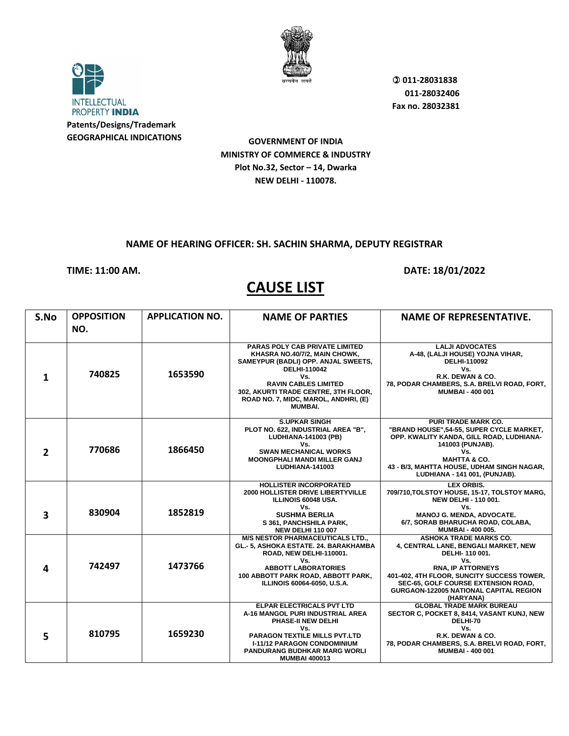

**INTELLECTUAL** PROPERTY INDIA **Patents/Designs/Trademark GEOGRAPHICAL INDICATIONS**

**GOVERNMENT OF INDIA MINISTRY OF COMMERCE & INDUSTRY Plot No.32, Sector – 14, Dwarka NEW DELHI - 110078.**

#### **NAME OF HEARING OFFICER: SH. SACHIN SHARMA, DEPUTY REGISTRAR**

#### **TIME: 11:00 AM. DATE: 18/01/2022**

| S.No                    | <b>OPPOSITION</b><br>NO. | <b>APPLICATION NO.</b> | <b>NAME OF PARTIES</b>                                                                                                                                                                                                                                                | <b>NAME OF REPRESENTATIVE.</b>                                                                                                                                                                                                                                                       |
|-------------------------|--------------------------|------------------------|-----------------------------------------------------------------------------------------------------------------------------------------------------------------------------------------------------------------------------------------------------------------------|--------------------------------------------------------------------------------------------------------------------------------------------------------------------------------------------------------------------------------------------------------------------------------------|
| 1                       | 740825                   | 1653590                | PARAS POLY CAB PRIVATE LIMITED<br>KHASRA NO.40/7/2, MAIN CHOWK,<br>SAMEYPUR (BADLI) OPP. ANJAL SWEETS,<br><b>DELHI-110042</b><br>Vs.<br><b>RAVIN CABLES LIMITED</b><br>302, AKURTI TRADE CENTRE, 3TH FLOOR,<br>ROAD NO. 7, MIDC, MAROL, ANDHRI, (E)<br><b>MUMBAI.</b> | <b>LALJI ADVOCATES</b><br>A-48, (LALJI HOUSE) YOJNA VIHAR,<br><b>DELHI-110092</b><br>Vs.<br>R.K. DEWAN & CO.<br>78, PODAR CHAMBERS, S.A. BRELVI ROAD, FORT,<br><b>MUMBAI - 400 001</b>                                                                                               |
| $\overline{2}$          | 770686                   | 1866450                | <b>S.UPKAR SINGH</b><br>PLOT NO. 622, INDUSTRIAL AREA "B",<br>LUDHIANA-141003 (PB)<br>Vs.<br><b>SWAN MECHANICAL WORKS</b><br><b>MOONGPHALI MANDI MILLER GANJ</b><br>LUDHIANA-141003                                                                                   | <b>PURI TRADE MARK CO.</b><br>"BRAND HOUSE",54-55, SUPER CYCLE MARKET,<br>OPP. KWALITY KANDA, GILL ROAD, LUDHIANA-<br>141003 (PUNJAB).<br>Vs.<br><b>MAHTTA &amp; CO.</b><br>43 - B/3, MAHTTA HOUSE, UDHAM SINGH NAGAR,<br>LUDHIANA - 141 001, (PUNJAB).                              |
| $\overline{\mathbf{3}}$ | 830904                   | 1852819                | <b>HOLLISTER INCORPORATED</b><br><b>2000 HOLLISTER DRIVE LIBERTYVILLE</b><br>ILLINOIS 60048 USA.<br>Vs.<br><b>SUSHMA BERLIA</b><br>S 361, PANCHSHILA PARK,<br><b>NEW DELHI 110 007</b>                                                                                | LEX ORBIS.<br>709/710, TOLSTOY HOUSE, 15-17, TOLSTOY MARG,<br><b>NEW DELHI - 110 001.</b><br>Vs.<br>MANOJ G. MENDA, ADVOCATE.<br>6/7, SORAB BHARUCHA ROAD, COLABA,<br><b>MUMBAI - 400 005.</b>                                                                                       |
| 4                       | 742497                   | 1473766                | <b>M/S NESTOR PHARMACEUTICALS LTD.,</b><br>GL.- 5, ASHOKA ESTATE. 24. BARAKHAMBA<br>ROAD, NEW DELHI-110001.<br>Vs.<br><b>ABBOTT LABORATORIES</b><br>100 ABBOTT PARK ROAD, ABBOTT PARK,<br>ILLINOIS 60064-6050, U.S.A.                                                 | <b>ASHOKA TRADE MARKS CO.</b><br>4, CENTRAL LANE, BENGALI MARKET, NEW<br>DELHI-110 001.<br>Vs.<br><b>RNA, IP ATTORNEYS</b><br>401-402, 4TH FLOOR, SUNCITY SUCCESS TOWER,<br><b>SEC-65, GOLF COURSE EXTENSION ROAD,</b><br><b>GURGAON-122005 NATIONAL CAPITAL REGION</b><br>(HARYANA) |
| 5                       | 810795                   | 1659230                | ELPAR ELECTRICALS PVT LTD<br>A-16 MANGOL PURI INDUSTRIAL AREA<br>PHASE-II NEW DELHI<br>Vs.<br><b>PARAGON TEXTILE MILLS PVT.LTD</b><br><b>I-11/12 PARAGON CONDOMINIUM</b><br><b>PANDURANG BUDHKAR MARG WORLI</b><br><b>MUMBAI 400013</b>                               | <b>GLOBAL TRADE MARK BUREAU</b><br>SECTOR C, POCKET 8, 8414, VASANT KUNJ, NEW<br>DELHI-70<br>Vs.<br>R.K. DEWAN & CO.<br>78, PODAR CHAMBERS, S.A. BRELVI ROAD, FORT,<br><b>MUMBAI - 400 001</b>                                                                                       |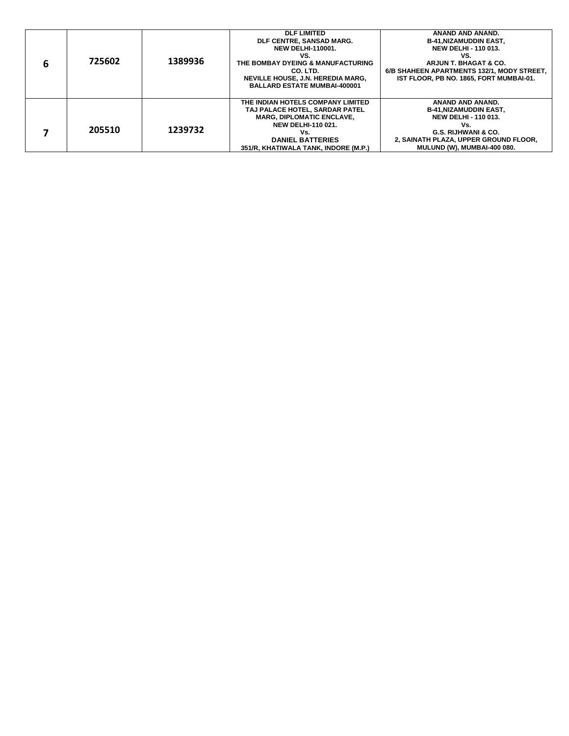| 6 | 725602 | 1389936 | <b>DLF LIMITED</b><br>DLF CENTRE, SANSAD MARG.<br><b>NEW DELHI-110001.</b><br>VS.<br>THE BOMBAY DYEING & MANUFACTURING<br>CO. LTD.<br><b>NEVILLE HOUSE, J.N. HEREDIA MARG,</b><br><b>BALLARD ESTATE MUMBAI-400001</b> | ANAND AND ANAND.<br><b>B-41, NIZAMUDDIN EAST,</b><br><b>NEW DELHI - 110 013.</b><br>VS.<br>ARJUN T. BHAGAT & CO.<br>6/B SHAHEEN APARTMENTS 132/1. MODY STREET.<br>IST FLOOR, PB NO. 1865, FORT MUMBAI-01. |
|---|--------|---------|-----------------------------------------------------------------------------------------------------------------------------------------------------------------------------------------------------------------------|-----------------------------------------------------------------------------------------------------------------------------------------------------------------------------------------------------------|
|   | 205510 | 1239732 | THE INDIAN HOTELS COMPANY LIMITED<br>TAJ PALACE HOTEL, SARDAR PATEL<br><b>MARG, DIPLOMATIC ENCLAVE,</b><br><b>NEW DELHI-110 021.</b><br>Vs.<br><b>DANIEL BATTERIES</b><br>351/R, KHATIWALA TANK, INDORE (M.P.)        | ANAND AND ANAND.<br><b>B-41, NIZAMUDDIN EAST,</b><br><b>NEW DELHI - 110 013.</b><br>Vs.<br><b>G.S. RIJHWANI &amp; CO.</b><br>2, SAINATH PLAZA, UPPER GROUND FLOOR,<br><b>MULUND (W), MUMBAI-400 080.</b>  |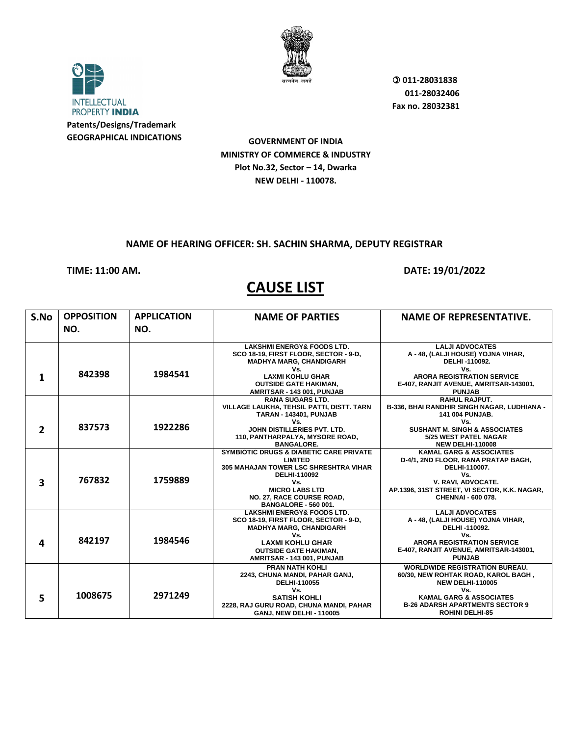

**INTELLECTUAL** PROPERTY INDIA **Patents/Designs/Trademark GEOGRAPHICAL INDICATIONS**

**GOVERNMENT OF INDIA MINISTRY OF COMMERCE & INDUSTRY Plot No.32, Sector – 14, Dwarka NEW DELHI - 110078.**

#### **NAME OF HEARING OFFICER: SH. SACHIN SHARMA, DEPUTY REGISTRAR**

#### **TIME: 11:00 AM. DATE: 19/01/2022**

| S.No           | <b>OPPOSITION</b> | <b>APPLICATION</b> | <b>NAME OF PARTIES</b>                                                         | <b>NAME OF REPRESENTATIVE.</b>                                              |
|----------------|-------------------|--------------------|--------------------------------------------------------------------------------|-----------------------------------------------------------------------------|
|                | NO.               | NO.                |                                                                                |                                                                             |
|                |                   |                    |                                                                                |                                                                             |
|                |                   |                    | <b>LAKSHMI ENERGY&amp; FOODS LTD.</b><br>SCO 18-19, FIRST FLOOR, SECTOR - 9-D, | <b>LALJI ADVOCATES</b><br>A - 48, (LALJI HOUSE) YOJNA VIHAR,                |
|                |                   |                    | <b>MADHYA MARG, CHANDIGARH</b>                                                 | DELHI-110092.                                                               |
|                |                   |                    | Vs.                                                                            | Vs.                                                                         |
| 1              | 842398            | 1984541            | <b>LAXMI KOHLU GHAR</b>                                                        | <b>ARORA REGISTRATION SERVICE</b>                                           |
|                |                   |                    | <b>OUTSIDE GATE HAKIMAN,</b>                                                   | E-407, RANJIT AVENUE, AMRITSAR-143001,                                      |
|                |                   |                    | AMRITSAR - 143 001, PUNJAB                                                     | <b>PUNJAB</b>                                                               |
|                |                   |                    | <b>RANA SUGARS LTD.</b>                                                        | <b>RAHUL RAJPUT.</b>                                                        |
|                |                   |                    | VILLAGE LAUKHA, TEHSIL PATTI, DISTT. TARN                                      | B-336, BHAI RANDHIR SINGH NAGAR, LUDHIANA -                                 |
|                |                   |                    | <b>TARAN - 143401, PUNJAB</b><br>Vs.                                           | <b>141 004 PUNJAB.</b><br>Vs.                                               |
| $\overline{2}$ | 837573            | 1922286            | JOHN DISTILLERIES PVT. LTD.                                                    | <b>SUSHANT M. SINGH &amp; ASSOCIATES</b>                                    |
|                |                   |                    | 110, PANTHARPALYA, MYSORE ROAD,                                                | <b>5/25 WEST PATEL NAGAR</b>                                                |
|                |                   |                    | <b>BANGALORE.</b>                                                              | <b>NEW DELHI-110008</b>                                                     |
|                |                   |                    | <b>SYMBIOTIC DRUGS &amp; DIABETIC CARE PRIVATE</b>                             | <b>KAMAL GARG &amp; ASSOCIATES</b>                                          |
|                |                   |                    | <b>LIMITED</b>                                                                 | D-4/1, 2ND FLOOR, RANA PRATAP BAGH,                                         |
|                |                   |                    | 305 MAHAJAN TOWER LSC SHRESHTRA VIHAR                                          | DELHI-110007.                                                               |
|                | 767832            | 1759889            | <b>DELHI-110092</b>                                                            | Vs.                                                                         |
| 3              |                   |                    | Vs.<br><b>MICRO LABS LTD</b>                                                   | V. RAVI, ADVOCATE.<br>AP.1396, 31ST STREET, VI SECTOR, K.K. NAGAR,          |
|                |                   |                    | NO. 27, RACE COURSE ROAD,                                                      | CHENNAI - 600 078.                                                          |
|                |                   |                    | <b>BANGALORE - 560 001.</b>                                                    |                                                                             |
|                |                   |                    | <b>LAKSHMI ENERGY&amp; FOODS LTD.</b>                                          | <b>LALJI ADVOCATES</b>                                                      |
|                |                   |                    | SCO 18-19, FIRST FLOOR, SECTOR - 9-D,                                          | A - 48, (LALJI HOUSE) YOJNA VIHAR,                                          |
|                |                   |                    | <b>MADHYA MARG, CHANDIGARH</b>                                                 | DELHI-110092.                                                               |
|                | 842197            | 1984546            | Vs.                                                                            | Vs.                                                                         |
| 4              |                   |                    | <b>LAXMI KOHLU GHAR</b>                                                        | <b>ARORA REGISTRATION SERVICE</b><br>E-407, RANJIT AVENUE, AMRITSAR-143001, |
|                |                   |                    | <b>OUTSIDE GATE HAKIMAN,</b><br>AMRITSAR - 143 001, PUNJAB                     | <b>PUNJAB</b>                                                               |
|                |                   |                    | <b>PRAN NATH KOHLI</b>                                                         | <b>WORLDWIDE REGISTRATION BUREAU.</b>                                       |
|                |                   |                    | 2243, CHUNA MANDI, PAHAR GANJ,                                                 | 60/30, NEW ROHTAK ROAD, KAROL BAGH,                                         |
|                |                   |                    | DELHI-110055                                                                   | <b>NEW DELHI-110005</b>                                                     |
|                |                   |                    | Vs.                                                                            | Vs.                                                                         |
| 5              | 1008675           | 2971249            | <b>SATISH KOHLI</b>                                                            | <b>KAMAL GARG &amp; ASSOCIATES</b>                                          |
|                |                   |                    | 2228, RAJ GURU ROAD, CHUNA MANDI, PAHAR                                        | <b>B-26 ADARSH APARTMENTS SECTOR 9</b>                                      |
|                |                   |                    | <b>GANJ, NEW DELHI - 110005</b>                                                | <b>ROHINI DELHI-85</b>                                                      |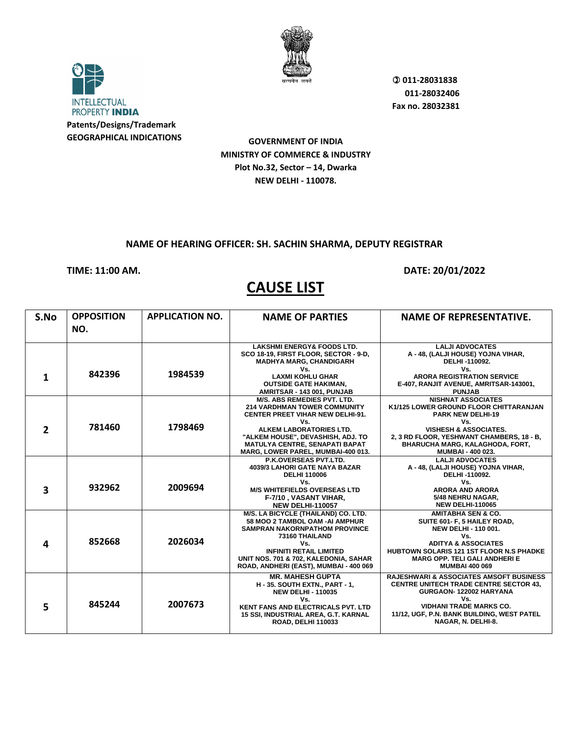

**INTELLECTUAL** PROPERTY INDIA **Patents/Designs/Trademark GEOGRAPHICAL INDICATIONS**

**GOVERNMENT OF INDIA MINISTRY OF COMMERCE & INDUSTRY Plot No.32, Sector – 14, Dwarka NEW DELHI - 110078.**

#### **NAME OF HEARING OFFICER: SH. SACHIN SHARMA, DEPUTY REGISTRAR**

#### **TIME: 11:00 AM. DATE: 20/01/2022**

| S.No           | <b>OPPOSITION</b><br>NO. | <b>APPLICATION NO.</b> | <b>NAME OF PARTIES</b>                                                                                                                                                                                                                                       | <b>NAME OF REPRESENTATIVE.</b>                                                                                                                                                                                                                         |
|----------------|--------------------------|------------------------|--------------------------------------------------------------------------------------------------------------------------------------------------------------------------------------------------------------------------------------------------------------|--------------------------------------------------------------------------------------------------------------------------------------------------------------------------------------------------------------------------------------------------------|
|                |                          |                        | <b>LAKSHMI ENERGY&amp; FOODS LTD.</b><br>SCO 18-19, FIRST FLOOR, SECTOR - 9-D,                                                                                                                                                                               | <b>LALJI ADVOCATES</b><br>A - 48, (LALJI HOUSE) YOJNA VIHAR,                                                                                                                                                                                           |
| 1              | 842396                   | 1984539                | <b>MADHYA MARG, CHANDIGARH</b><br>Vs.<br><b>LAXMI KOHLU GHAR</b><br><b>OUTSIDE GATE HAKIMAN,</b><br>AMRITSAR - 143 001, PUNJAB                                                                                                                               | DELHI-110092.<br>Vs.<br><b>ARORA REGISTRATION SERVICE</b><br>E-407, RANJIT AVENUE, AMRITSAR-143001,<br><b>PUNJAB</b>                                                                                                                                   |
| $\overline{2}$ | 781460                   | 1798469                | M/S. ABS REMEDIES PVT. LTD.<br><b>214 VARDHMAN TOWER COMMUNITY</b><br>CENTER PREET VIHAR NEW DELHI-91.<br>Vs.<br>ALKEM LABORATORIES LTD.<br>"ALKEM HOUSE", DEVASHISH, ADJ. TO<br><b>MATULYA CENTRE, SENAPATI BAPAT</b><br>MARG, LOWER PAREL, MUMBAI-400 013. | <b>NISHNAT ASSOCIATES</b><br>K1/125 LOWER GROUND FLOOR CHITTARANJAN<br><b>PARK NEW DELHI-19</b><br>Vs.<br><b>VISHESH &amp; ASSOCIATES.</b><br>2, 3 RD FLOOR, YESHWANT CHAMBERS, 18 - B,<br><b>BHARUCHA MARG, KALAGHODA, FORT,</b><br>MUMBAI - 400 023. |
|                | 932962                   | 2009694                | <b>P.K.OVERSEAS PVT.LTD.</b><br>4039/3 LAHORI GATE NAYA BAZAR<br><b>DELHI 110006</b><br>Vs.                                                                                                                                                                  | <b>LALJI ADVOCATES</b><br>A - 48, (LALJI HOUSE) YOJNA VIHAR,<br>DELHI-110092.<br>Vs.                                                                                                                                                                   |
| 3              |                          |                        | <b>M/S WHITEFIELDS OVERSEAS LTD</b><br>F-7/10, VASANT VIHAR,<br><b>NEW DELHI-110057</b>                                                                                                                                                                      | <b>ARORA AND ARORA</b><br>5/48 NEHRU NAGAR.<br><b>NEW DELHI-110065</b>                                                                                                                                                                                 |
| 4              | 852668                   | 2026034                | M/S. LA BICYCLE (THAILAND) CO. LTD.<br>58 MOO 2 TAMBOL OAM -AI AMPHUR<br><b>SAMPRAN NAKORNPATHOM PROVINCE</b><br>73160 THAILAND<br>Vs.<br><b>INFINITI RETAIL LIMITED</b><br>UNIT NOS. 701 & 702, KALEDONIA, SAHAR<br>ROAD, ANDHERI (EAST), MUMBAI - 400 069  | <b>AMITABHA SEN &amp; CO.</b><br>SUITE 601- F, 5 HAILEY ROAD,<br><b>NEW DELHI - 110 001.</b><br>Vs.<br><b>ADITYA &amp; ASSOCIATES</b><br>HUBTOWN SOLARIS 121 1ST FLOOR N.S PHADKE<br><b>MARG OPP. TELI GALI ANDHERI E</b><br><b>MUMBAI 400 069</b>     |
| 5              | 845244                   | 2007673                | <b>MR. MAHESH GUPTA</b><br><b>H-35. SOUTH EXTN., PART-1,</b><br><b>NEW DELHI - 110035</b><br>Vs.<br><b>KENT FANS AND ELECTRICALS PVT. LTD</b><br>15 SSI, INDUSTRIAL AREA, G.T. KARNAL<br><b>ROAD, DELHI 110033</b>                                           | <b>RAJESHWARI &amp; ASSOCIATES AMSOFT BUSINESS</b><br><b>CENTRE UNITECH TRADE CENTRE SECTOR 43.</b><br>GURGAON-122002 HARYANA<br>Vs.<br><b>VIDHANI TRADE MARKS CO.</b><br>11/12, UGF, P.N. BANK BUILDING, WEST PATEL<br>NAGAR, N. DELHI-8.             |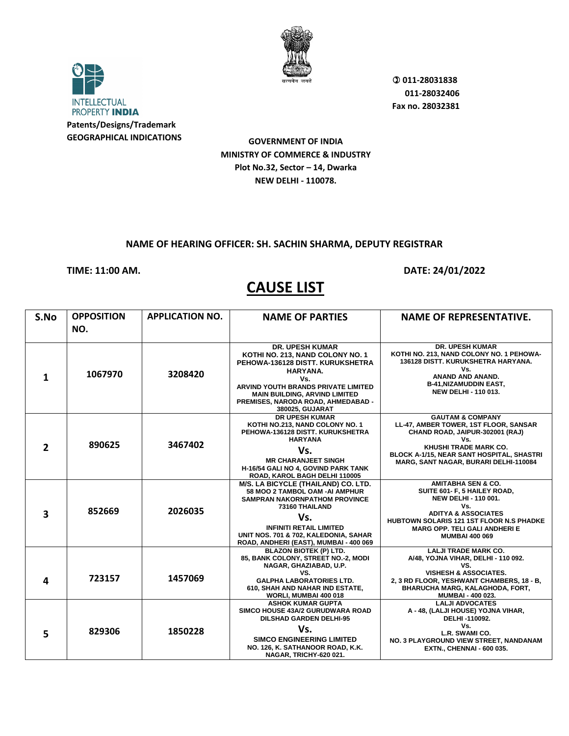

**INTELLECTUAL** PROPERTY INDIA **Patents/Designs/Trademark GEOGRAPHICAL INDICATIONS**

**GOVERNMENT OF INDIA MINISTRY OF COMMERCE & INDUSTRY Plot No.32, Sector – 14, Dwarka NEW DELHI - 110078.**

#### **NAME OF HEARING OFFICER: SH. SACHIN SHARMA, DEPUTY REGISTRAR**

#### **TIME: 11:00 AM. DATE: 24/01/2022**

| S.No           | <b>OPPOSITION</b><br>NO. | <b>APPLICATION NO.</b> | <b>NAME OF PARTIES</b>                                                                                                                                                                                                                                           | <b>NAME OF REPRESENTATIVE.</b>                                                                                                                                                                                                                            |
|----------------|--------------------------|------------------------|------------------------------------------------------------------------------------------------------------------------------------------------------------------------------------------------------------------------------------------------------------------|-----------------------------------------------------------------------------------------------------------------------------------------------------------------------------------------------------------------------------------------------------------|
| 1              | 1067970                  | 3208420                | <b>DR. UPESH KUMAR</b><br>KOTHI NO. 213, NAND COLONY NO. 1<br>PEHOWA-136128 DISTT, KURUKSHETRA<br><b>HARYANA.</b><br>Vs.<br>ARVIND YOUTH BRANDS PRIVATE LIMITED<br><b>MAIN BUILDING, ARVIND LIMITED</b><br>PREMISES, NARODA ROAD, AHMEDABAD -<br>380025, GUJARAT | <b>DR. UPESH KUMAR</b><br>KOTHI NO. 213, NAND COLONY NO. 1 PEHOWA-<br>136128 DISTT. KURUKSHETRA HARYANA.<br>Vs.<br>ANAND AND ANAND.<br><b>B-41, NIZAMUDDIN EAST,</b><br><b>NEW DELHI - 110 013.</b>                                                       |
| $\overline{2}$ | 890625                   | 3467402                | <b>DR UPESH KUMAR</b><br>KOTHI NO.213, NAND COLONY NO. 1<br>PEHOWA-136128 DISTT, KURUKSHETRA<br><b>HARYANA</b><br>Vs.<br><b>MR CHARANJEET SINGH</b><br>H-16/54 GALI NO 4, GOVIND PARK TANK<br>ROAD, KAROL BAGH DELHI 110005                                      | <b>GAUTAM &amp; COMPANY</b><br>LL-47, AMBER TOWER, 1ST FLOOR, SANSAR<br>CHAND ROAD, JAIPUR-302001 (RAJ)<br>Vs.<br>KHUSHI TRADE MARK CO.<br>BLOCK A-1/15, NEAR SANT HOSPITAL, SHASTRI<br>MARG, SANT NAGAR, BURARI DELHI-110084                             |
| 3              | 852669                   | 2026035                | M/S. LA BICYCLE (THAILAND) CO. LTD.<br>58 MOO 2 TAMBOL OAM -AI AMPHUR<br><b>SAMPRAN NAKORNPATHOM PROVINCE</b><br>73160 THAILAND<br>Vs.<br><b>INFINITI RETAIL LIMITED</b><br>UNIT NOS. 701 & 702, KALEDONIA, SAHAR<br>ROAD, ANDHERI (EAST), MUMBAI - 400 069      | <b>AMITABHA SEN &amp; CO.</b><br>SUITE 601- F, 5 HAILEY ROAD,<br><b>NEW DELHI - 110 001.</b><br>Vs.<br><b>ADITYA &amp; ASSOCIATES</b><br><b>HUBTOWN SOLARIS 121 1ST FLOOR N.S PHADKE</b><br><b>MARG OPP. TELI GALI ANDHERI E</b><br><b>MUMBAI 400 069</b> |
| 4              | 723157                   | 1457069                | <b>BLAZON BIOTEK (P) LTD.</b><br>85, BANK COLONY, STREET NO.-2, MODI<br>NAGAR, GHAZIABAD, U.P.<br>VS.<br><b>GALPHA LABORATORIES LTD.</b><br>610, SHAH AND NAHAR IND ESTATE,<br>WORLI, MUMBAI 400 018                                                             | <b>LALJI TRADE MARK CO.</b><br>A/48, YOJNA VIHAR, DELHI - 110 092.<br>VS.<br><b>VISHESH &amp; ASSOCIATES.</b><br>2, 3 RD FLOOR, YESHWANT CHAMBERS, 18 - B,<br>BHARUCHA MARG, KALAGHODA, FORT,<br><b>MUMBAI - 400 023.</b>                                 |
| 5              | 829306                   | 1850228                | <b>ASHOK KUMAR GUPTA</b><br>SIMCO HOUSE 43A/2 GURUDWARA ROAD<br><b>DILSHAD GARDEN DELHI-95</b><br>Vs.<br><b>SIMCO ENGINEERING LIMITED</b><br>NO. 126, K. SATHANOOR ROAD, K.K.<br>NAGAR, TRICHY-620 021.                                                          | <b>LALJI ADVOCATES</b><br>A - 48, (LALJI HOUSE) YOJNA VIHAR,<br>DELHI-110092.<br>Vs.<br>L.R. SWAMI CO.<br>NO. 3 PLAYGROUND VIEW STREET, NANDANAM<br><b>EXTN., CHENNAI - 600 035.</b>                                                                      |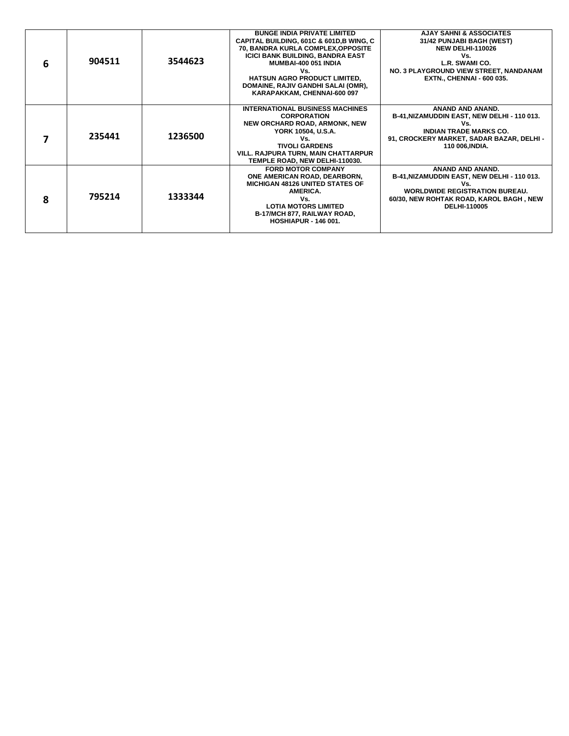| 6 | 904511 | 3544623 | <b>BUNGE INDIA PRIVATE LIMITED</b><br><b>CAPITAL BUILDING, 601C &amp; 601D, B WING, C</b><br>70, BANDRA KURLA COMPLEX, OPPOSITE<br><b>ICICI BANK BUILDING, BANDRA EAST</b><br><b>MUMBAI-400 051 INDIA</b><br>Vs.<br><b>HATSUN AGRO PRODUCT LIMITED,</b><br>DOMAINE, RAJIV GANDHI SALAI (OMR),<br>KARAPAKKAM, CHENNAI-600 097 | <b>AJAY SAHNI &amp; ASSOCIATES</b><br>31/42 PUNJABI BAGH (WEST)<br><b>NEW DELHI-110026</b><br>Vs.<br>L.R. SWAMI CO.<br>NO. 3 PLAYGROUND VIEW STREET, NANDANAM<br><b>EXTN., CHENNAI - 600 035.</b> |
|---|--------|---------|------------------------------------------------------------------------------------------------------------------------------------------------------------------------------------------------------------------------------------------------------------------------------------------------------------------------------|---------------------------------------------------------------------------------------------------------------------------------------------------------------------------------------------------|
|   | 235441 | 1236500 | <b>INTERNATIONAL BUSINESS MACHINES</b><br><b>CORPORATION</b><br><b>NEW ORCHARD ROAD, ARMONK, NEW</b><br>YORK 10504, U.S.A.<br>Vs.<br><b>TIVOLI GARDENS</b><br>VILL. RAJPURA TURN, MAIN CHATTARPUR<br>TEMPLE ROAD, NEW DELHI-110030.                                                                                          | <b>ANAND AND ANAND.</b><br>B-41, NIZAMUDDIN EAST, NEW DELHI - 110 013.<br>Vs.<br><b>INDIAN TRADE MARKS CO.</b><br>91, CROCKERY MARKET, SADAR BAZAR, DELHI -<br>110 006, INDIA.                    |
| Զ | 795214 | 1333344 | <b>FORD MOTOR COMPANY</b><br>ONE AMERICAN ROAD, DEARBORN,<br><b>MICHIGAN 48126 UNITED STATES OF</b><br>AMERICA.<br>Vs.<br><b>LOTIA MOTORS LIMITED</b><br><b>B-17/MCH 877, RAILWAY ROAD,</b><br><b>HOSHIAPUR - 146 001.</b>                                                                                                   | ANAND AND ANAND.<br>B-41, NIZAMUDDIN EAST, NEW DELHI - 110 013.<br>Vs.<br><b>WORLDWIDE REGISTRATION BUREAU.</b><br>60/30, NEW ROHTAK ROAD, KAROL BAGH, NEW<br><b>DELHI-110005</b>                 |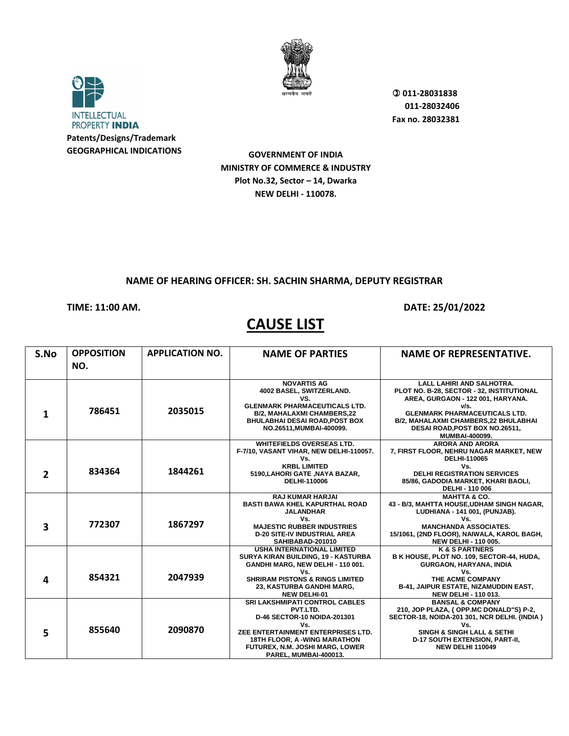

**INTELLECTUAL** PROPERTY INDIA **Patents/Designs/Trademark GEOGRAPHICAL INDICATIONS**

 **011-28031838 011-28032406 Fax no. 28032381**

**GOVERNMENT OF INDIA MINISTRY OF COMMERCE & INDUSTRY Plot No.32, Sector – 14, Dwarka NEW DELHI - 110078.**

### **NAME OF HEARING OFFICER: SH. SACHIN SHARMA, DEPUTY REGISTRAR**

### **TIME: 11:00 AM. DATE: 25/01/2022**

| S.No           | <b>OPPOSITION</b><br>NO. | <b>APPLICATION NO.</b> | <b>NAME OF PARTIES</b>                                                                                                                | <b>NAME OF REPRESENTATIVE.</b>                                                                                                          |
|----------------|--------------------------|------------------------|---------------------------------------------------------------------------------------------------------------------------------------|-----------------------------------------------------------------------------------------------------------------------------------------|
|                |                          |                        |                                                                                                                                       |                                                                                                                                         |
|                | 786451                   | 2035015                | <b>NOVARTIS AG</b><br>4002 BASEL, SWITZERLAND.<br>VS.<br><b>GLENMARK PHARMACEUTICALS LTD.</b>                                         | <b>LALL LAHIRI AND SALHOTRA.</b><br>PLOT NO. B-28, SECTOR - 32, INSTITUTIONAL<br>AREA, GURGAON - 122 001, HARYANA.<br>v/s.              |
| 1              |                          |                        | <b>B/2, MAHALAXMI CHAMBERS,22</b><br><b>BHULABHAI DESAI ROAD, POST BOX</b><br>NO.26511, MUMBAI-400099.                                | <b>GLENMARK PHARMACEUTICALS LTD.</b><br><b>B/2. MAHALAXMI CHAMBERS.22 BHULABHAI</b><br>DESAI ROAD, POST BOX NO.26511,<br>MUMBAI-400099. |
|                |                          |                        | <b>WHITEFIELDS OVERSEAS LTD.</b><br>F-7/10, VASANT VIHAR, NEW DELHI-110057.<br>Vs.                                                    | <b>ARORA AND ARORA</b><br>7, FIRST FLOOR, NEHRU NAGAR MARKET, NEW<br>DELHI-110065                                                       |
| $\overline{2}$ | 834364                   | 1844261                | <b>KRBL LIMITED</b><br>5190, LAHORI GATE, NAYA BAZAR,<br>DELHI-110006                                                                 | Vs.<br><b>DELHI REGISTRATION SERVICES</b><br>85/86, GADODIA MARKET, KHARI BAOLI,<br>DELHI - 110 006                                     |
|                |                          |                        | <b>RAJ KUMAR HARJAI</b><br><b>BASTI BAWA KHEL KAPURTHAL ROAD</b><br><b>JALANDHAR</b>                                                  | <b>MAHTTA &amp; CO.</b><br>43 - B/3, MAHTTA HOUSE, UDHAM SINGH NAGAR,<br>LUDHIANA - 141 001, (PUNJAB).                                  |
| 3              | 772307                   | 1867297                | Vs.<br><b>MAJESTIC RUBBER INDUSTRIES</b><br><b>D-20 SITE-IV INDUSTRIAL AREA</b><br>SAHIBABAD-201010                                   | Vs.<br><b>MANCHANDA ASSOCIATES.</b><br>15/1061, (2ND FLOOR), NAIWALA, KAROL BAGH,<br><b>NEW DELHI - 110 005.</b>                        |
|                |                          |                        | <b>USHA INTERNATIONAL LIMITED</b><br>SURYA KIRAN BUILDING, 19 - KASTURBA<br>GANDHI MARG, NEW DELHI - 110 001.                         | <b>K &amp; S PARTNERS</b><br>B K HOUSE, PLOT NO. 109, SECTOR-44, HUDA,<br>GURGAON, HARYANA, INDIA                                       |
| 4              | 854321                   | 2047939                | Vs.<br><b>SHRIRAM PISTONS &amp; RINGS LIMITED</b><br>23, KASTURBA GANDHI MARG,<br><b>NEW DELHI-01</b>                                 | Vs.<br>THE ACME COMPANY<br><b>B-41, JAIPUR ESTATE, NIZAMUDDIN EAST,</b><br><b>NEW DELHI - 110 013.</b>                                  |
|                |                          |                        | <b>SRI LAKSHMIPATI CONTROL CABLES</b><br>PVT.LTD.<br><b>D-46 SECTOR-10 NOIDA-201301</b><br>Vs.                                        | <b>BANSAL &amp; COMPANY</b><br>210, JOP PLAZA, { OPP.MC DONALD"S} P-2,<br>SECTOR-18, NOIDA-201 301, NCR DELHI. {INDIA }<br>Vs.          |
| 5              | 855640                   | 2090870                | ZEE ENTERTAINMENT ENTERPRISES LTD.<br><b>18TH FLOOR, A -WING MARATHON</b><br>FUTUREX, N.M. JOSHI MARG, LOWER<br>PAREL, MUMBAI-400013. | <b>SINGH &amp; SINGH LALL &amp; SETHI</b><br><b>D-17 SOUTH EXTENSION, PART-II,</b><br><b>NEW DELHI 110049</b>                           |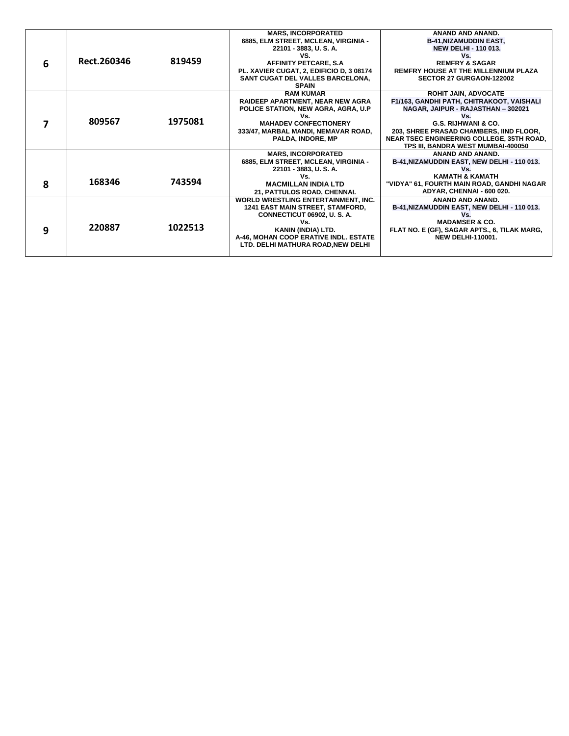|   |             |         | <b>MARS. INCORPORATED</b>                  | <b>ANAND AND ANAND.</b>                      |
|---|-------------|---------|--------------------------------------------|----------------------------------------------|
|   |             |         | 6885, ELM STREET, MCLEAN, VIRGINIA -       | <b>B-41, NIZAMUDDIN EAST,</b>                |
|   |             |         | 22101 - 3883, U.S.A.                       | <b>NEW DELHI - 110 013.</b>                  |
|   |             |         | VS.                                        | Vs.                                          |
| 6 | Rect.260346 | 819459  | <b>AFFINITY PETCARE, S.A</b>               | <b>REMFRY &amp; SAGAR</b>                    |
|   |             |         | PL. XAVIER CUGAT, 2, EDIFICIO D, 3 08174   | <b>REMFRY HOUSE AT THE MILLENNIUM PLAZA</b>  |
|   |             |         | SANT CUGAT DEL VALLES BARCELONA,           | SECTOR 27 GURGAON-122002                     |
|   |             |         | <b>SPAIN</b>                               |                                              |
|   |             |         | <b>RAM KUMAR</b>                           | <b>ROHIT JAIN, ADVOCATE</b>                  |
|   |             |         | <b>RAIDEEP APARTMENT. NEAR NEW AGRA</b>    | F1/163, GANDHI PATH, CHITRAKOOT, VAISHALI    |
|   |             |         | POLICE STATION, NEW AGRA, AGRA, U.P        | NAGAR, JAIPUR - RAJASTHAN - 302021           |
|   |             |         | Vs.                                        | Vs.                                          |
|   | 809567      | 1975081 | <b>MAHADEV CONFECTIONERY</b>               | G.S. RIJHWANI & CO.                          |
|   |             |         | 333/47, MARBAL MANDI, NEMAVAR ROAD,        | 203, SHREE PRASAD CHAMBERS, IIND FLOOR,      |
|   |             |         | PALDA, INDORE, MP                          | NEAR TSEC ENGINEERING COLLEGE, 35TH ROAD,    |
|   |             |         |                                            | TPS III. BANDRA WEST MUMBAI-400050           |
|   |             |         | <b>MARS, INCORPORATED</b>                  | ANAND AND ANAND.                             |
|   |             |         | 6885, ELM STREET, MCLEAN, VIRGINIA -       | B-41, NIZAMUDDIN EAST, NEW DELHI - 110 013.  |
|   |             |         | 22101 - 3883, U.S.A.                       | Vs.                                          |
|   | 168346      | 743594  | Vs.                                        | <b>KAMATH &amp; KAMATH</b>                   |
| 8 |             |         | <b>MACMILLAN INDIA LTD</b>                 | "VIDYA" 61, FOURTH MAIN ROAD, GANDHI NAGAR   |
|   |             |         | 21. PATTULOS ROAD, CHENNAI.                | ADYAR, CHENNAI - 600 020.                    |
|   |             |         | <b>WORLD WRESTLING ENTERTAINMENT. INC.</b> | ANAND AND ANAND.                             |
|   |             |         | 1241 EAST MAIN STREET, STAMFORD,           | B-41, NIZAMUDDIN EAST, NEW DELHI - 110 013.  |
|   |             |         | CONNECTICUT 06902, U.S.A.                  |                                              |
|   |             |         | Vs.                                        | <b>MADAMSER &amp; CO.</b>                    |
| q | 220887      | 1022513 | KANIN (INDIA) LTD.                         | FLAT NO. E (GF), SAGAR APTS., 6, TILAK MARG, |
|   |             |         | A-46, MOHAN COOP ERATIVE INDL. ESTATE      | <b>NEW DELHI-110001.</b>                     |
|   |             |         | LTD. DELHI MATHURA ROAD, NEW DELHI         |                                              |
|   |             |         |                                            |                                              |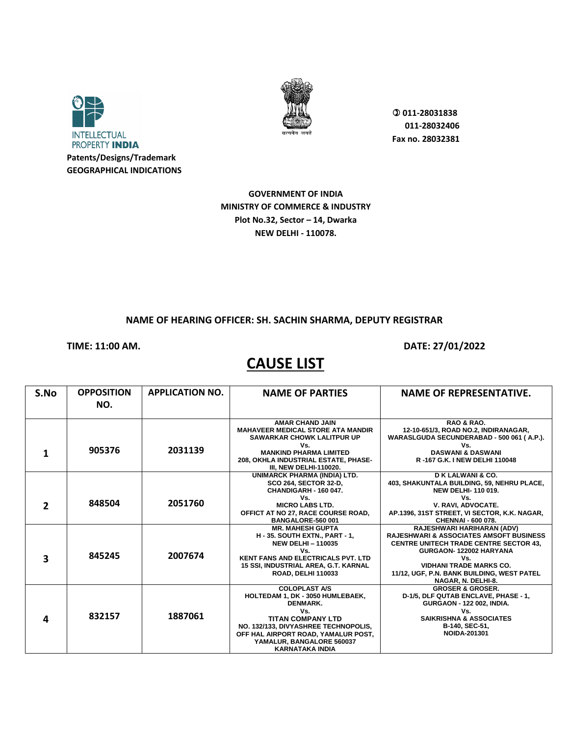



**GOVERNMENT OF INDIA MINISTRY OF COMMERCE & INDUSTRY Plot No.32, Sector – 14, Dwarka NEW DELHI - 110078.**

#### **NAME OF HEARING OFFICER: SH. SACHIN SHARMA, DEPUTY REGISTRAR**

**TIME: 11:00 AM. DATE: 27/01/2022** 

| S.No | <b>OPPOSITION</b> | <b>APPLICATION NO.</b> | <b>NAME OF PARTIES</b>                                                                                 | <b>NAME OF REPRESENTATIVE.</b>                                                                      |
|------|-------------------|------------------------|--------------------------------------------------------------------------------------------------------|-----------------------------------------------------------------------------------------------------|
|      | NO.               |                        |                                                                                                        |                                                                                                     |
|      |                   |                        | <b>AMAR CHAND JAIN</b>                                                                                 | RAO & RAO.                                                                                          |
|      |                   |                        | <b>MAHAVEER MEDICAL STORE ATA MANDIR</b><br><b>SAWARKAR CHOWK LALITPUR UP</b>                          | 12-10-651/3, ROAD NO.2, INDIRANAGAR,<br>WARASLGUDA SECUNDERABAD - 500 061 (A.P.).                   |
|      | 905376            | 2031139                | Vs.                                                                                                    | Vs.                                                                                                 |
|      |                   |                        | <b>MANKIND PHARMA LIMITED</b><br>208, OKHLA INDUSTRIAL ESTATE, PHASE-<br><b>III, NEW DELHI-110020.</b> | <b>DASWANI &amp; DASWANI</b><br>R-167 G.K. I NEW DELHI 110048                                       |
|      |                   |                        | UNIMARCK PHARMA (INDIA) LTD.                                                                           | <b>DK LALWANI &amp; CO.</b>                                                                         |
|      |                   |                        | <b>SCO 264, SECTOR 32-D,</b><br>CHANDIGARH - 160 047.                                                  | 403, SHAKUNTALA BUILDING, 59, NEHRU PLACE,<br><b>NEW DELHI-110019.</b>                              |
|      |                   |                        | Vs.                                                                                                    | Vs.                                                                                                 |
| 2    | 848504            | 2051760                | <b>MICRO LABS LTD.</b>                                                                                 | V. RAVI. ADVOCATE.                                                                                  |
|      |                   |                        | OFFICT AT NO 27, RACE COURSE ROAD,<br><b>BANGALORE-560 001</b>                                         | AP.1396, 31ST STREET, VI SECTOR, K.K. NAGAR,<br>CHENNAI - 600 078.                                  |
|      |                   |                        | <b>MR. MAHESH GUPTA</b>                                                                                | RAJESHWARI HARIHARAN (ADV)                                                                          |
|      |                   |                        | <b>H - 35. SOUTH EXTN., PART - 1,</b><br><b>NEW DELHI-110035</b>                                       | <b>RAJESHWARI &amp; ASSOCIATES AMSOFT BUSINESS</b><br><b>CENTRE UNITECH TRADE CENTRE SECTOR 43.</b> |
|      |                   |                        | Vs.                                                                                                    | GURGAON-122002 HARYANA                                                                              |
| 3    | 845245            | 2007674                | <b>KENT FANS AND ELECTRICALS PVT. LTD</b>                                                              | Vs.                                                                                                 |
|      |                   |                        | 15 SSI, INDUSTRIAL AREA, G.T. KARNAL                                                                   | <b>VIDHANI TRADE MARKS CO.</b>                                                                      |
|      |                   |                        | <b>ROAD, DELHI 110033</b>                                                                              | 11/12, UGF, P.N. BANK BUILDING, WEST PATEL<br>NAGAR, N. DELHI-8.                                    |
|      |                   |                        | <b>COLOPLAST A/S</b>                                                                                   | <b>GROSER &amp; GROSER.</b>                                                                         |
|      |                   |                        | HOLTEDAM 1, DK - 3050 HUMLEBAEK,<br>DENMARK.                                                           | D-1/5, DLF QUTAB ENCLAVE, PHASE - 1,<br><b>GURGAON - 122 002, INDIA.</b>                            |
|      |                   |                        | Vs.                                                                                                    | Vs.                                                                                                 |
| 4    | 832157            | 1887061                | <b>TITAN COMPANY LTD</b>                                                                               | <b>SAIKRISHNA &amp; ASSOCIATES</b>                                                                  |
|      |                   |                        | NO. 132/133, DIVYASHREE TECHNOPOLIS,                                                                   | B-140, SEC-51,                                                                                      |
|      |                   |                        | OFF HAL AIRPORT ROAD, YAMALUR POST,                                                                    | <b>NOIDA-201301</b>                                                                                 |
|      |                   |                        | YAMALUR, BANGALORE 560037<br><b>KARNATAKA INDIA</b>                                                    |                                                                                                     |